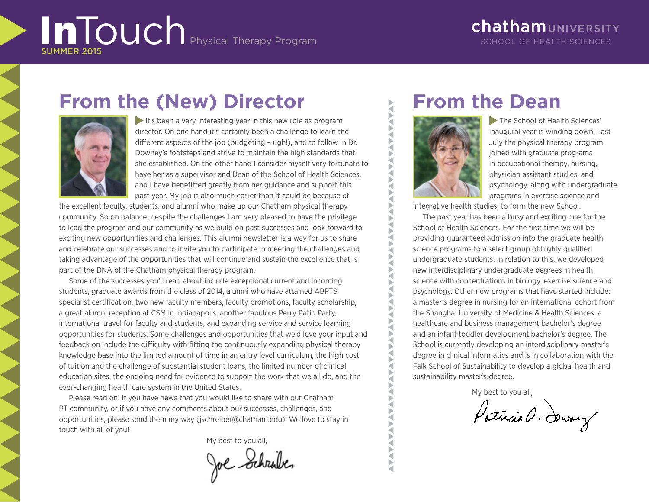### ChathamUNIVERSITY School of Health Sciences

# **From the (New) Director**



It's been a very interesting year in this new role as program director. On one hand it's certainly been a challenge to learn the different aspects of the job (budgeting – ugh!), and to follow in Dr. Downey's footsteps and strive to maintain the high standards that she established. On the other hand I consider myself very fortunate to have her as a supervisor and Dean of the School of Health Sciences, and I have benefitted greatly from her guidance and support this past year. My job is also much easier than it could be because of

the excellent faculty, students, and alumni who make up our Chatham physical therapy community. So on balance, despite the challenges I am very pleased to have the privilege to lead the program and our community as we build on past successes and look forward to exciting new opportunities and challenges. This alumni newsletter is a way for us to share and celebrate our successes and to invite you to participate in meeting the challenges and taking advantage of the opportunities that will continue and sustain the excellence that is part of the DNA of the Chatham physical therapy program.

Some of the successes you'll read about include exceptional current and incoming students, graduate awards from the class of 2014, alumni who have attained ABPTS specialist certification, two new faculty members, faculty promotions, faculty scholarship, a great alumni reception at CSM in Indianapolis, another fabulous Perry Patio Party, international travel for faculty and students, and expanding service and service learning opportunities for students. Some challenges and opportunities that we'd love your input and feedback on include the difficulty with fitting the continuously expanding physical therapy knowledge base into the limited amount of time in an entry level curriculum, the high cost of tuition and the challenge of substantial student loans, the limited number of clinical education sites, the ongoing need for evidence to support the work that we all do, and the ever-changing health care system in the United States.

Please read on! If you have news that you would like to share with our Chatham PT community, or if you have any comments about our successes, challenges, and opportunities, please send them my way (jschreiber@chatham.edu). We love to stay in touch with all of you!

My best to you all,

Joe Schrabes

# **From the Dean**



<u>A PARTICIPATION AND A PARTICIPATION AND A PARTICIPATION AND A PARTICIPATION AND A PARTICIPATION AND A PARTICIPATION AND A PARTICIPATION AND A PARTICIPATION AND A PARTICIPATION AND A PARTICIPATION AND A PARTICIPATION AND A</u>

**AVA** 

**AVAY** ₹ Ř Š Ř

Þ ₹ Þ

The School of Health Sciences' inaugural year is winding down. Last July the physical therapy program joined with graduate programs in occupational therapy, nursing, physician assistant studies, and psychology, along with undergraduate programs in exercise science and

integrative health studies, to form the new School.

The past year has been a busy and exciting one for the School of Health Sciences. For the first time we will be providing guaranteed admission into the graduate health science programs to a select group of highly qualified undergraduate students. In relation to this, we developed new interdisciplinary undergraduate degrees in health science with concentrations in biology, exercise science and psychology. Other new programs that have started include: a master's degree in nursing for an international cohort from the Shanghai University of Medicine & Health Sciences, a healthcare and business management bachelor's degree and an infant toddler development bachelor's degree. The School is currently developing an interdisciplinary master's degree in clinical informatics and is in collaboration with the Falk School of Sustainability to develop a global health and sustainability master's degree.

My best to you all,

Patricia a. Downey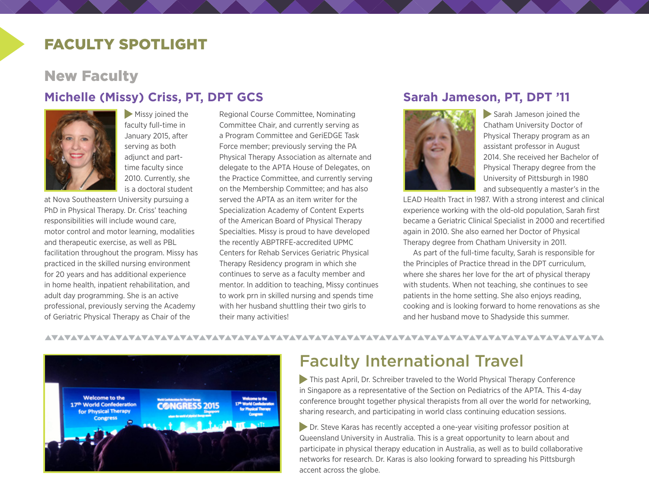### faculty spotlight

### New Faculty

### **Michelle (Missy) Criss, PT, DPT GCS**



Missy joined the faculty full-time in January 2015, after serving as both adjunct and parttime faculty since 2010. Currently, she is a doctoral student

at Nova Southeastern University pursuing a PhD in Physical Therapy. Dr. Criss' teaching responsibilities will include wound care, motor control and motor learning, modalities and therapeutic exercise, as well as PBL facilitation throughout the program. Missy has practiced in the skilled nursing environment for 20 years and has additional experience in home health, inpatient rehabilitation, and adult day programming. She is an active professional, previously serving the Academy of Geriatric Physical Therapy as Chair of the

Regional Course Committee, Nominating Committee Chair, and currently serving as a Program Committee and GeriEDGE Task Force member; previously serving the PA Physical Therapy Association as alternate and delegate to the APTA House of Delegates, on the Practice Committee, and currently serving on the Membership Committee; and has also served the APTA as an item writer for the Specialization Academy of Content Experts of the American Board of Physical Therapy Specialties. Missy is proud to have developed the recently ABPTRFE-accredited UPMC Centers for Rehab Services Geriatric Physical Therapy Residency program in which she continues to serve as a faculty member and mentor. In addition to teaching, Missy continues to work prn in skilled nursing and spends time with her husband shuttling their two girls to their many activities!

#### **Sarah Jameson, PT, DPT '11**



Sarah Jameson joined the Chatham University Doctor of Physical Therapy program as an assistant professor in August 2014. She received her Bachelor of Physical Therapy degree from the University of Pittsburgh in 1980 and subsequently a master's in the

LEAD Health Tract in 1987. With a strong interest and clinical experience working with the old-old population, Sarah first became a Geriatric Clinical Specialist in 2000 and recertified again in 2010. She also earned her Doctor of Physical Therapy degree from Chatham University in 2011.

As part of the full-time faculty, Sarah is responsible for the Principles of Practice thread in the DPT curriculum, where she shares her love for the art of physical therapy with students. When not teaching, she continues to see patients in the home setting. She also enjoys reading, cooking and is looking forward to home renovations as she and her husband move to Shadyside this summer.

AVAVAVAVAVAVAVAVAVAVAVAVAVAVAVAVA



## Faculty International Travel

 This past April, Dr. Schreiber traveled to the World Physical Therapy Conference in Singapore as a representative of the Section on Pediatrics of the APTA. This 4-day conference brought together physical therapists from all over the world for networking, sharing research, and participating in world class continuing education sessions.

 Dr. Steve Karas has recently accepted a one-year visiting professor position at Queensland University in Australia. This is a great opportunity to learn about and participate in physical therapy education in Australia, as well as to build collaborative networks for research. Dr. Karas is also looking forward to spreading his Pittsburgh accent across the globe.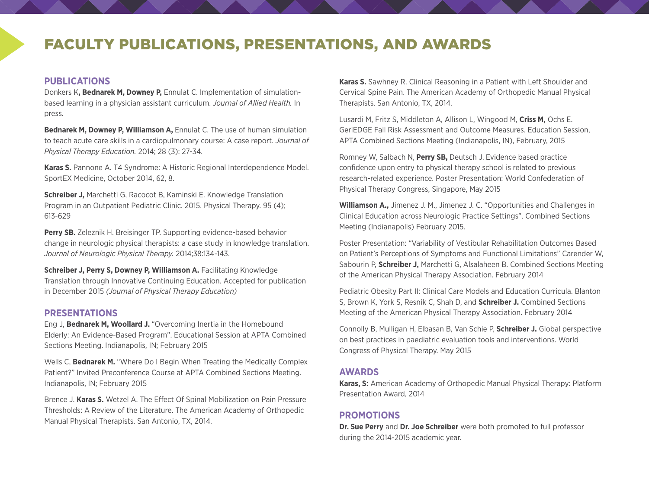## faculty publications, presentations, and awards

#### **PUBLICATIONS**

Donkers K**, Bednarek M, Downey P,** Ennulat C. Implementation of simulationbased learning in a physician assistant curriculum. *Journal of Allied Health.* In press.

**Bednarek M, Downey P, Williamson A, Ennulat C. The use of human simulation** to teach acute care skills in a cardiopulmonary course: A case report. *Journal of Physical Therapy Education.* 2014; 28 (3): 27-34.

**Karas S.** Pannone A. T4 Syndrome: A Historic Regional Interdependence Model. SportEX Medicine, October 2014, 62, 8.

**Schreiber J,** Marchetti G, Racocot B, Kaminski E. Knowledge Translation Program in an Outpatient Pediatric Clinic. 2015. Physical Therapy. 95 (4); 613-629

**Perry SB.** Zeleznik H. Breisinger TP. Supporting evidence-based behavior change in neurologic physical therapists: a case study in knowledge translation. *Journal of Neurologic Physical Therapy.* 2014;38:134-143.

**Schreiber J, Perry S, Downey P, Williamson A. Facilitating Knowledge** Translation through Innovative Continuing Education. Accepted for publication in December 2015 *(Journal of Physical Therapy Education)*

#### **PRESENTATIONS**

Eng J, **Bednarek M, Woollard J.** "Overcoming Inertia in the Homebound Elderly: An Evidence-Based Program". Educational Session at APTA Combined Sections Meeting. Indianapolis, IN; February 2015

Wells C, **Bednarek M.** "Where Do I Begin When Treating the Medically Complex Patient?" Invited Preconference Course at APTA Combined Sections Meeting. Indianapolis, IN; February 2015

Brence J. **Karas S.** Wetzel A. The Effect Of Spinal Mobilization on Pain Pressure Thresholds: A Review of the Literature. The American Academy of Orthopedic Manual Physical Therapists. San Antonio, TX, 2014.

**Karas S.** Sawhney R. Clinical Reasoning in a Patient with Left Shoulder and Cervical Spine Pain. The American Academy of Orthopedic Manual Physical Therapists. San Antonio, TX, 2014.

Lusardi M, Fritz S, Middleton A, Allison L, Wingood M, **Criss M,** Ochs E. GeriEDGE Fall Risk Assessment and Outcome Measures. Education Session, APTA Combined Sections Meeting (Indianapolis, IN), February, 2015

Romney W, Salbach N, **Perry SB,** Deutsch J. Evidence based practice confidence upon entry to physical therapy school is related to previous research-related experience. Poster Presentation: World Confederation of Physical Therapy Congress, Singapore, May 2015

**Williamson A.,** Jimenez J. M., Jimenez J. C. "Opportunities and Challenges in Clinical Education across Neurologic Practice Settings". Combined Sections Meeting (Indianapolis) February 2015.

Poster Presentation: "Variability of Vestibular Rehabilitation Outcomes Based on Patient's Perceptions of Symptoms and Functional Limitations" Carender W, Sabourin P, **Schreiber J,** Marchetti G, Alsalaheen B. Combined Sections Meeting of the American Physical Therapy Association. February 2014

Pediatric Obesity Part II: Clinical Care Models and Education Curricula. Blanton S, Brown K, York S, Resnik C, Shah D, and **Schreiber J.** Combined Sections Meeting of the American Physical Therapy Association. February 2014

Connolly B, Mulligan H, Elbasan B, Van Schie P, **Schreiber J.** Global perspective on best practices in paediatric evaluation tools and interventions. World Congress of Physical Therapy. May 2015

#### **AWARDS**

**Karas, S:** American Academy of Orthopedic Manual Physical Therapy: Platform Presentation Award, 2014

#### **PROMOTIONS**

**Dr. Sue Perry** and **Dr. Joe Schreiber** were both promoted to full professor during the 2014-2015 academic year.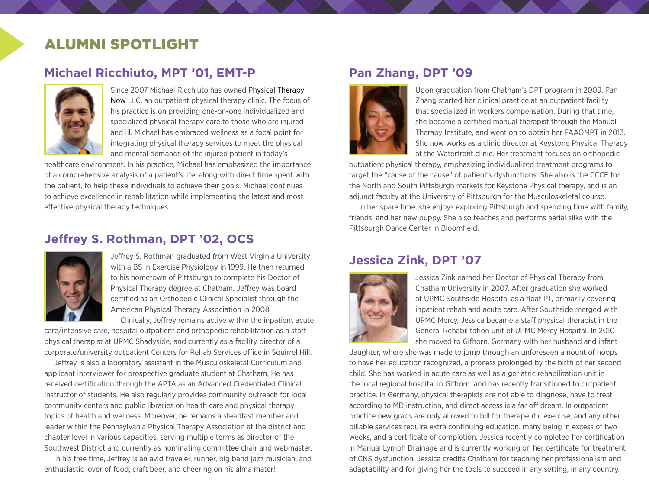## Alumni spotlight

### **Michael Ricchiuto, MPT '01, EMT-P**



Since 2007 Michael Ricchiuto has owned [Physical Therapy](http://physicaltherapynow.net/physical-therapy-now/)  [Now](http://physicaltherapynow.net/physical-therapy-now/) LLC, an outpatient physical therapy clinic. The focus of his practice is on providing one-on-one individualized and specialized physical therapy care to those who are injured and ill. Michael has embraced wellness as a focal point for integrating physical therapy services to meet the physical and mental demands of the injured patient in today's

healthcare environment. In his practice, Michael has emphasized the importance of a comprehensive analysis of a patient's life, along with direct time spent with the patient, to help these individuals to achieve their goals. Michael continues to achieve excellence in rehabilitation while implementing the latest and most effective physical therapy techniques.

### **Jeffrey S. Rothman, DPT '02, OCS**



Jeffrey S. Rothman graduated from West Virginia University with a BS in Exercise Physiology in 1999. He then returned to his hometown of Pittsburgh to complete his Doctor of Physical Therapy degree at Chatham. Jeffrey was board certified as an Orthopedic Clinical Specialist through the American Physical Therapy Association in 2008.

Clinically, Jeffrey remains active within the inpatient acute

care/intensive care, hospital outpatient and orthopedic rehabilitation as a staff physical therapist at UPMC Shadyside, and currently as a facility director of a corporate/university outpatient Centers for Rehab Services office in Squirrel Hill.

Jeffrey is also a laboratory assistant in the Musculoskeletal Curriculum and applicant interviewer for prospective graduate student at Chatham. He has received certification through the APTA as an Advanced Credentialed Clinical Instructor of students. He also regularly provides community outreach for local community centers and public libraries on health care and physical therapy topics of health and wellness. Moreover, he remains a steadfast member and leader within the Pennsylvania Physical Therapy Association at the district and chapter level in various capacities, serving multiple terms as director of the Southwest District and currently as nominating committee chair and webmaster.

In his free time, Jeffrey is an avid traveler, runner, big band jazz musician, and enthusiastic lover of food, craft beer, and cheering on his alma mater!

### **Pan Zhang, DPT '09**



Upon graduation from Chatham's DPT program in 2009, Pan Zhang started her clinical practice at an outpatient facility that specialized in workers compensation. During that time, she became a certified manual therapist through the Manual Therapy Institute, and went on to obtain her FAAOMPT in 2013. She now works as a clinic director at Keystone Physical Therapy at the Waterfront clinic. Her treatment focuses on orthopedic

outpatient physical therapy, emphasizing individualized treatment programs to target the "cause of the cause" of patient's dysfunctions. She also is the CCCE for the North and South Pittsburgh markets for Keystone Physical therapy, and is an adjunct faculty at the University of Pittsburgh for the Musculoskeletal course.

In her spare time, she enjoys exploring Pittsburgh and spending time with family, friends, and her new puppy. She also teaches and performs aerial silks with the Pittsburgh Dance Center in Bloomfield.

#### **Jessica Zink, DPT '07**



Jessica Zink earned her Doctor of Physical Therapy from Chatham University in 2007. After graduation she worked at UPMC Southside Hospital as a float PT, primarily covering inpatient rehab and acute care. After Southside merged with UPMC Mercy, Jessica became a staff physical therapist in the General Rehabilitation unit of UPMC Mercy Hospital. In 2010 she moved to Gifhorn, Germany with her husband and infant

daughter, where she was made to jump through an unforeseen amount of hoops to have her education recognized, a process prolonged by the birth of her second child. She has worked in acute care as well as a geriatric rehabilitation unit in the local regional hospital in Gifhorn, and has recently transitioned to outpatient practice. In Germany, physical therapists are not able to diagnose, have to treat according to MD instruction, and direct access is a far off dream. In outpatient practice new grads are only allowed to bill for therapeutic exercise, and any other billable services require extra continuing education, many being in excess of two weeks, and a certificate of completion. Jessica recently completed her certification in Manual Lymph Drainage and is currently working on her certificate for treatment of CNS dysfunction. Jessica credits Chatham for teaching her professionalism and adaptability and for giving her the tools to succeed in any setting, in any country.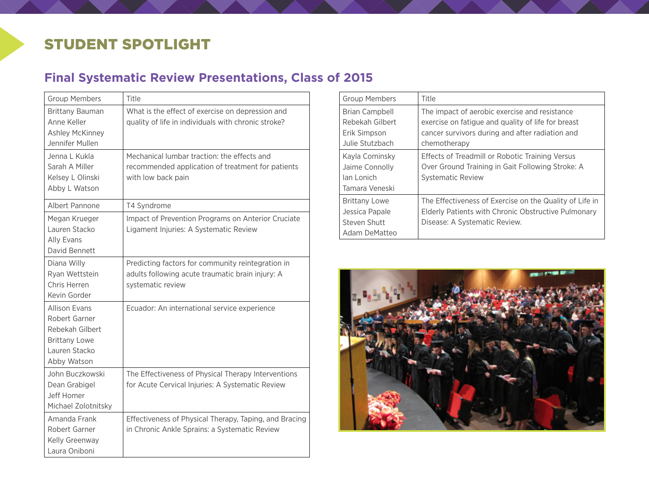## student spotlight

## **Final Systematic Review Presentations, Class of 2015**

| <b>Group Members</b>                                                                                             | Title                                                                                                                      |
|------------------------------------------------------------------------------------------------------------------|----------------------------------------------------------------------------------------------------------------------------|
| <b>Brittany Bauman</b><br>Anne Keller<br>Ashley McKinney<br>Jennifer Mullen                                      | What is the effect of exercise on depression and<br>quality of life in individuals with chronic stroke?                    |
| Jenna L Kukla<br>Sarah A Miller<br>Kelsey L Olinski<br>Abby L Watson                                             | Mechanical lumbar traction: the effects and<br>recommended application of treatment for patients<br>with low back pain     |
| Albert Pannone                                                                                                   | T4 Syndrome                                                                                                                |
| Megan Krueger<br>Lauren Stacko<br>Ally Evans<br>David Bennett                                                    | Impact of Prevention Programs on Anterior Cruciate<br>Ligament Injuries: A Systematic Review                               |
| Diana Willy<br>Ryan Wettstein<br>Chris Herren<br>Kevin Gorder                                                    | Predicting factors for community reintegration in<br>adults following acute traumatic brain injury: A<br>systematic review |
| <b>Allison Evans</b><br>Robert Garner<br>Rebekah Gilbert<br><b>Brittany Lowe</b><br>Lauren Stacko<br>Abby Watson | Ecuador: An international service experience                                                                               |
| John Buczkowski<br>Dean Grabigel<br>Jeff Homer<br>Michael Zolotnitsky                                            | The Effectiveness of Physical Therapy Interventions<br>for Acute Cervical Injuries: A Systematic Review                    |
| Amanda Frank<br>Robert Garner<br>Kelly Greenway<br>Laura Oniboni                                                 | Effectiveness of Physical Therapy, Taping, and Bracing<br>in Chronic Ankle Sprains: a Systematic Review                    |

| <b>Group Members</b>                                                    | Title                                                                                                                                                                  |
|-------------------------------------------------------------------------|------------------------------------------------------------------------------------------------------------------------------------------------------------------------|
| Brian Campbell<br>Rebekah Gilbert<br>Erik Simpson<br>Julie Stutzbach    | The impact of aerobic exercise and resistance<br>exercise on fatigue and quality of life for breast<br>cancer survivors during and after radiation and<br>chemotherapy |
| Kayla Cominsky<br>Jaime Connolly<br>Jan Lonich<br>Tamara Veneski        | Effects of Treadmill or Robotic Training Versus<br>Over Ground Training in Gait Following Stroke: A<br><b>Systematic Review</b>                                        |
| <b>Brittany Lowe</b><br>Jessica Papale<br>Steven Shutt<br>Adam DeMatteo | The Effectiveness of Exercise on the Quality of Life in<br>Elderly Patients with Chronic Obstructive Pulmonary<br>Disease: A Systematic Review.                        |

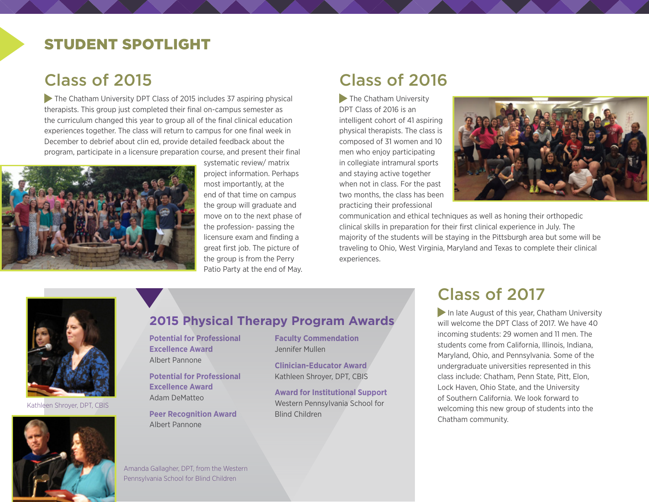## student spotlight

## Class of 2015

The Chatham University DPT Class of 2015 includes 37 aspiring physical therapists. This group just completed their final on-campus semester as the curriculum changed this year to group all of the final clinical education experiences together. The class will return to campus for one final week in December to debrief about clin ed, provide detailed feedback about the program, participate in a licensure preparation course, and present their final



systematic review/ matrix project information. Perhaps most importantly, at the end of that time on campus the group will graduate and move on to the next phase of the profession- passing the licensure exam and finding a great first job. The picture of the group is from the Perry Patio Party at the end of May.

## Class of 2016

**The Chatham University** DPT Class of 2016 is an intelligent cohort of 41 aspiring physical therapists. The class is composed of 31 women and 10 men who enjoy participating in collegiate intramural sports and staying active together when not in class. For the past two months, the class has been practicing their professional



communication and ethical techniques as well as honing their orthopedic clinical skills in preparation for their first clinical experience in July. The majority of the students will be staying in the Pittsburgh area but some will be traveling to Ohio, West Virginia, Maryland and Texas to complete their clinical experiences.



Kathleen Shroyer, DPT, CBIS



#### **2015 Physical Therapy Program Awards**

**Potential for Professional Excellence Award** Albert Pannone

**Potential for Professional Excellence Award** Adam DeMatteo

**Peer Recognition Award** Albert Pannone

**Faculty Commendation** Jennifer Mullen

> **Clinician-Educator Award** Kathleen Shroyer, DPT, CBIS

**Award for Institutional Support** Western Pennsylvania School for Blind Children

## Class of 2017

In late August of this year, Chatham University will welcome the DPT Class of 2017. We have 40 incoming students: 29 women and 11 men. The students come from California, Illinois, Indiana, Maryland, Ohio, and Pennsylvania. Some of the undergraduate universities represented in this class include: Chatham, Penn State, Pitt, Elon, Lock Haven, Ohio State, and the University of Southern California. We look forward to welcoming this new group of students into the Chatham community.

Amanda Gallagher, DPT, from the Western Pennsylvania School for Blind Children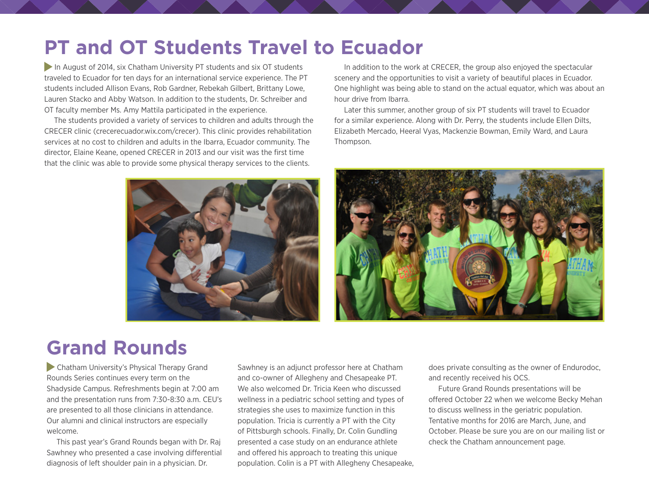# **PT and OT Students Travel to Ecuador**

In August of 2014, six Chatham University PT students and six OT students traveled to Ecuador for ten days for an international service experience. The PT students included Allison Evans, Rob Gardner, Rebekah Gilbert, Brittany Lowe, Lauren Stacko and Abby Watson. In addition to the students, Dr. Schreiber and OT faculty member Ms. Amy Mattila participated in the experience.

The students provided a variety of services to children and adults through the CRECER clinic [\(crecerecuador.wix.com/crecer\)](http://crecerecuador.wix.com/crecer). This clinic provides rehabilitation services at no cost to children and adults in the Ibarra, Ecuador community. The director, Elaine Keane, opened CRECER in 2013 and our visit was the first time that the clinic was able to provide some physical therapy services to the clients.



In addition to the work at CRECER, the group also enjoyed the spectacular scenery and the opportunities to visit a variety of beautiful places in Ecuador. One highlight was being able to stand on the actual equator, which was about an hour drive from Ibarra.

Later this summer, another group of six PT students will travel to Ecuador for a similar experience. Along with Dr. Perry, the students include Ellen Dilts, Elizabeth Mercado, Heeral Vyas, Mackenzie Bowman, Emily Ward, and Laura Thompson.



# **Grand Rounds**

 Chatham University's Physical Therapy Grand Rounds Series continues every term on the Shadyside Campus. Refreshments begin at 7:00 am and the presentation runs from 7:30-8:30 a.m. CEU's are presented to all those clinicians in attendance. Our alumni and clinical instructors are especially welcome.

This past year's Grand Rounds began with Dr. Raj Sawhney who presented a case involving differential diagnosis of left shoulder pain in a physician. Dr.

Sawhney is an adjunct professor here at Chatham and co-owner of Allegheny and Chesapeake PT. We also welcomed Dr. Tricia Keen who discussed wellness in a pediatric school setting and types of strategies she uses to maximize function in this population. Tricia is currently a PT with the City of Pittsburgh schools. Finally, Dr. Colin Gundling presented a case study on an endurance athlete and offered his approach to treating this unique population. Colin is a PT with Allegheny Chesapeake, does private consulting as the owner of Endurodoc, and recently received his OCS.

Future Grand Rounds presentations will be offered October 22 when we welcome Becky Mehan to discuss wellness in the geriatric population. Tentative months for 2016 are March, June, and October. Please be sure you are on our mailing list or check the Chatham announcement page.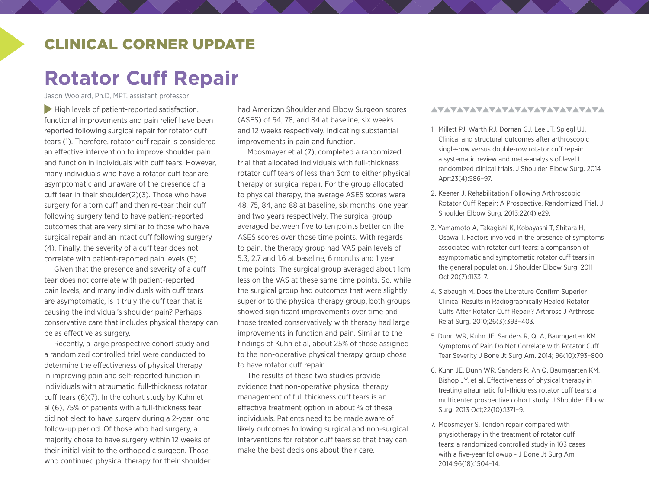### Clinical corner update

# **Rotator Cuff Repair**

Jason Woolard, Ph.D, MPT, assistant professor

 $\blacktriangleright$  High levels of patient-reported satisfaction, functional improvements and pain relief have been reported following surgical repair for rotator cuff tears (1). Therefore, rotator cuff repair is considered an effective intervention to improve shoulder pain and function in individuals with cuff tears. However, many individuals who have a rotator cuff tear are asymptomatic and unaware of the presence of a cuff tear in their shoulder(2)(3). Those who have surgery for a torn cuff and then re-tear their cuff following surgery tend to have patient-reported outcomes that are very similar to those who have surgical repair and an intact cuff following surgery (4). Finally, the severity of a cuff tear does not correlate with patient-reported pain levels (5).

Given that the presence and severity of a cuff tear does not correlate with patient-reported pain levels, and many individuals with cuff tears are asymptomatic, is it truly the cuff tear that is causing the individual's shoulder pain? Perhaps conservative care that includes physical therapy can be as effective as surgery.

Recently, a large prospective cohort study and a randomized controlled trial were conducted to determine the effectiveness of physical therapy in improving pain and self-reported function in individuals with atraumatic, full-thickness rotator cuff tears (6)(7). In the cohort study by Kuhn et al (6), 75% of patients with a full-thickness tear did not elect to have surgery during a 2-year long follow-up period. Of those who had surgery, a majority chose to have surgery within 12 weeks of their initial visit to the orthopedic surgeon. Those who continued physical therapy for their shoulder had American Shoulder and Elbow Surgeon scores (ASES) of 54, 78, and 84 at baseline, six weeks and 12 weeks respectively, indicating substantial improvements in pain and function.

Moosmayer et al (7), completed a randomized trial that allocated individuals with full-thickness rotator cuff tears of less than 3cm to either physical therapy or surgical repair. For the group allocated to physical therapy, the average ASES scores were 48, 75, 84, and 88 at baseline, six months, one year, and two years respectively. The surgical group averaged between five to ten points better on the ASES scores over those time points. With regards to pain, the therapy group had VAS pain levels of 5.3, 2.7 and 1.6 at baseline, 6 months and 1 year time points. The surgical group averaged about 1cm less on the VAS at these same time points. So, while the surgical group had outcomes that were slightly superior to the physical therapy group, both groups showed significant improvements over time and those treated conservatively with therapy had large improvements in function and pain. Similar to the findings of Kuhn et al, about 25% of those assigned to the non-operative physical therapy group chose to have rotator cuff repair.

The results of these two studies provide evidence that non-operative physical therapy management of full thickness cuff tears is an effective treatment option in about  $\frac{3}{4}$  of these individuals. Patients need to be made aware of likely outcomes following surgical and non-surgical interventions for rotator cuff tears so that they can make the best decisions about their care.

#### AVAVAVAVAVAVAVAVAVAVAVAVA

- 1. Millett PJ, Warth RJ, Dornan GJ, Lee JT, Spiegl UJ. Clinical and structural outcomes after arthroscopic single-row versus double-row rotator cuff repair: a systematic review and meta-analysis of level I randomized clinical trials. J Shoulder Elbow Surg. 2014 Apr;23(4):586–97.
- 2. Keener J. Rehabilitation Following Arthroscopic Rotator Cuff Repair: A Prospective, Randomized Trial. J Shoulder Elbow Surg. 2013;22(4):e29.
- 3. Yamamoto A, Takagishi K, Kobayashi T, Shitara H, Osawa T. Factors involved in the presence of symptoms associated with rotator cuff tears: a comparison of asymptomatic and symptomatic rotator cuff tears in the general population. J Shoulder Elbow Surg. 2011 Oct;20(7):1133–7.
- 4. Slabaugh M. Does the Literature Confirm Superior Clinical Results in Radiographically Healed Rotator Cuffs After Rotator Cuff Repair? Arthrosc J Arthrosc Relat Surg. 2010;26(3):393–403.
- 5. Dunn WR, Kuhn JE, Sanders R, Qi A, Baumgarten KM. Symptoms of Pain Do Not Correlate with Rotator Cuff Tear Severity J Bone Jt Surg Am. 2014; 96(10):793–800.
- 6. Kuhn JE, Dunn WR, Sanders R, An Q, Baumgarten KM, Bishop JY, et al. Effectiveness of physical therapy in treating atraumatic full-thickness rotator cuff tears: a multicenter prospective cohort study. J Shoulder Elbow Surg. 2013 Oct;22(10):1371–9.
- 7. Moosmayer S. Tendon repair compared with physiotherapy in the treatment of rotator cuff tears: a randomized controlled study in 103 cases with a five-year followup - J Bone Jt Surg Am. 2014;96(18):1504–14.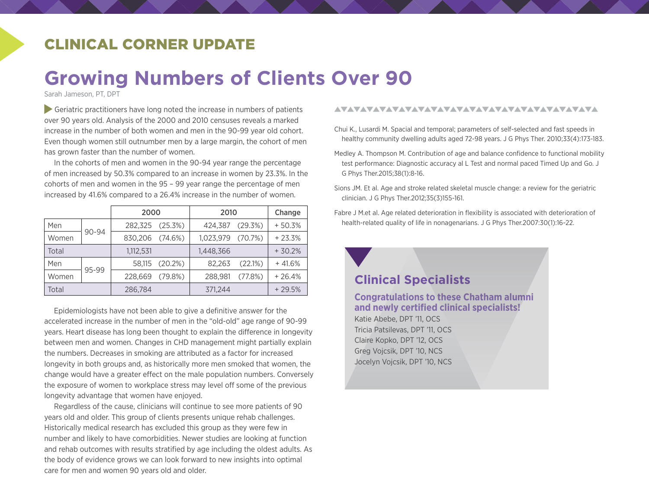## Clinical corner update

# **Growing Numbers of Clients Over 90**

Sarah Jameson, PT, DPT

Geriatric practitioners have long noted the increase in numbers of patients over 90 years old. Analysis of the 2000 and 2010 censuses reveals a marked increase in the number of both women and men in the 90-99 year old cohort. Even though women still outnumber men by a large margin, the cohort of men has grown faster than the number of women.

In the cohorts of men and women in the 90-94 year range the percentage of men increased by 50.3% compared to an increase in women by 23.3%. In the cohorts of men and women in the 95 – 99 year range the percentage of men increased by 41.6% compared to a 26.4% increase in the number of women.

|       | 2000  |                 | 2010           |           | Change  |          |
|-------|-------|-----------------|----------------|-----------|---------|----------|
| Men   | 90-94 | 282.325         | (25.3%)        | 424.387   | (29.3%) | $+50.3%$ |
| Women |       | 830.206 (74.6%) |                | 1.023.979 | (70.7%) | $+23.3%$ |
| Total |       | 1,112,531       |                | 1.448.366 |         | $+30.2%$ |
| Men   | 95-99 |                 | 58,115 (20.2%) | 82.263    | (22.1%) | $+41.6%$ |
| Women |       | 228,669         | $(79.8\%)$     | 288,981   | (77.8%) | $+26.4%$ |
| Total |       | 286,784         |                | 371.244   |         | $+29.5%$ |

Epidemiologists have not been able to give a definitive answer for the accelerated increase in the number of men in the "old-old" age range of 90-99 years. Heart disease has long been thought to explain the difference in longevity between men and women. Changes in CHD management might partially explain the numbers. Decreases in smoking are attributed as a factor for increased longevity in both groups and, as historically more men smoked that women, the change would have a greater effect on the male population numbers. Conversely the exposure of women to workplace stress may level off some of the previous longevity advantage that women have enjoyed.

Regardless of the cause, clinicians will continue to see more patients of 90 years old and older. This group of clients presents unique rehab challenges. Historically medical research has excluded this group as they were few in number and likely to have comorbidities. Newer studies are looking at function and rehab outcomes with results stratified by age including the oldest adults. As the body of evidence grows we can look forward to new insights into optimal care for men and women 90 years old and older.

#### 

- Chui K., Lusardi M. Spacial and temporal; parameters of self-selected and fast speeds in healthy community dwelling adults aged 72-98 years. J G Phys Ther. 2010;33(4):173-183.
- Medley A. Thompson M. Contribution of age and balance confidence to functional mobility test performance: Diagnostic accuracy al L Test and normal paced Timed Up and Go. J G Phys Ther.2015;38(1):8-16.
- Sions JM. Et al. Age and stroke related skeletal muscle change: a review for the geriatric clinician. J G Phys Ther.2012;35(3)155-161.
- Fabre J M.et al. Age related deterioration in flexibility is associated with deterioration of health-related quality of life in nonagenarians. J G Phys Ther.2007:30(1):16-22.

#### **Clinical Specialists**

#### **Congratulations to these Chatham alumni and newly certified clinical specialists!**

Katie Abebe, DPT '11, OCS Tricia Patsilevas, DPT '11, OCS Claire Kopko, DPT '12, OCS Greg Vojcsik, DPT '10, NCS Jocelyn Vojcsik, DPT '10, NCS